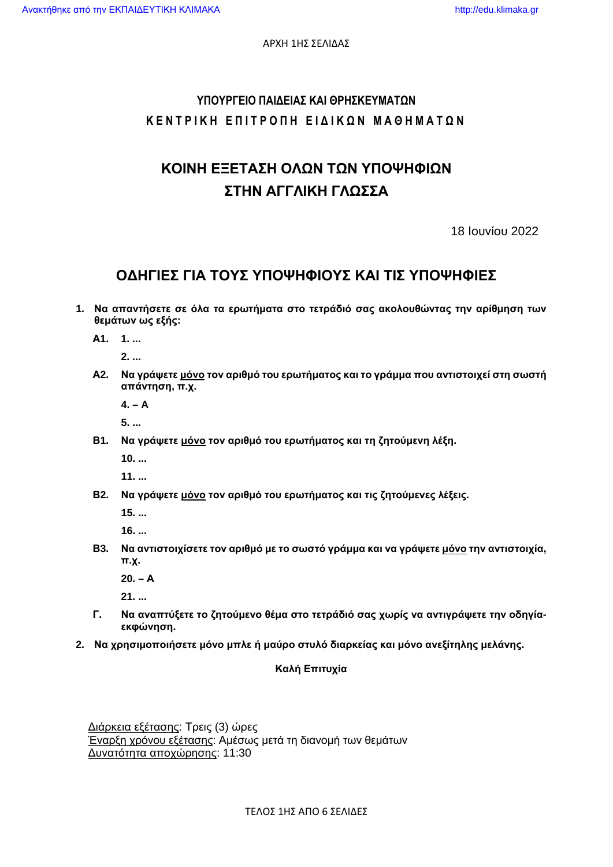ΑΡΧΗ 1ΗΣ ΣΕΛΙΔΑΣ

# **ΥΠΟΥΡΓΕΙΟ ΠΑΙΔΕΙΑΣ ΚΑΙ ΘΡΗΣΚΕΥΜΑΤΩΝ ΚΕΝΤΡΙΚΗ ΕΠΙΤΡΟΠΗ ΕΙΔΙΚΩΝ ΜΑΘΗΜΑΤΩΝ**

# **ΚΟΙΝΗ ΕΞΕΤΑΣΗ ΟΛΩΝ ΤΩΝ ΥΠΟΨΗΦΙΩΝ ΣΤΗΝ ΑΓΓΛΙΚΗ ΓΛΩΣΣΑ**

18 Ιουνίου 2022

# **ΟΔΗΓΙΕΣ ΓΙΑ ΤΟΥΣ ΥΠΟΨΗΦΙΟΥΣ ΚΑΙ ΤΙΣ ΥΠΟΨΗΦΙΕΣ**

**1. Να απαντήσετε σε όλα τα ερωτήματα στο τετράδιό σας ακολουθώντας την αρίθμηση των θεμάτων ως εξής:** 

**Α1. 1. ...** 

 **2. ...** 

**Α2. Να γράψετε μόνο τον αριθμό του ερωτήματος και το γράμμα που αντιστοιχεί στη σωστή απάντηση, π.χ.** 

 **4. – A** 

 **5. ...** 

**Β1. Να γράψετε μόνο τον αριθμό του ερωτήματος και τη ζητούμενη λέξη.** 

 **10. ...** 

 **11. ...** 

**Β2. Να γράψετε μόνο τον αριθμό του ερωτήματος και τις ζητούμενες λέξεις.** 

 **15. ...** 

 **16. ...** 

**Β3. Να αντιστοιχίσετε τον αριθμό με το σωστό γράμμα και να γράψετε μόνο την αντιστοιχία, π.χ.** 

 **20. – Α**

 **21. ...** 

- **Γ. Να αναπτύξετε το ζητούμενο θέμα στο τετράδιό σας χωρίς να αντιγράψετε την οδηγίαεκφώνηση.**
- **2. Να χρησιμοποιήσετε μόνο μπλε ή μαύρο στυλό διαρκείας και μόνο ανεξίτηλης μελάνης.**

#### **Καλή Επιτυχία**

Διάρκεια εξέτασης: Τρεις (3) ώρες Έναρξη χρόνου εξέτασης: Αμέσως μετά τη διανομή των θεμάτων Δυνατότητα αποχώρησης: 11:30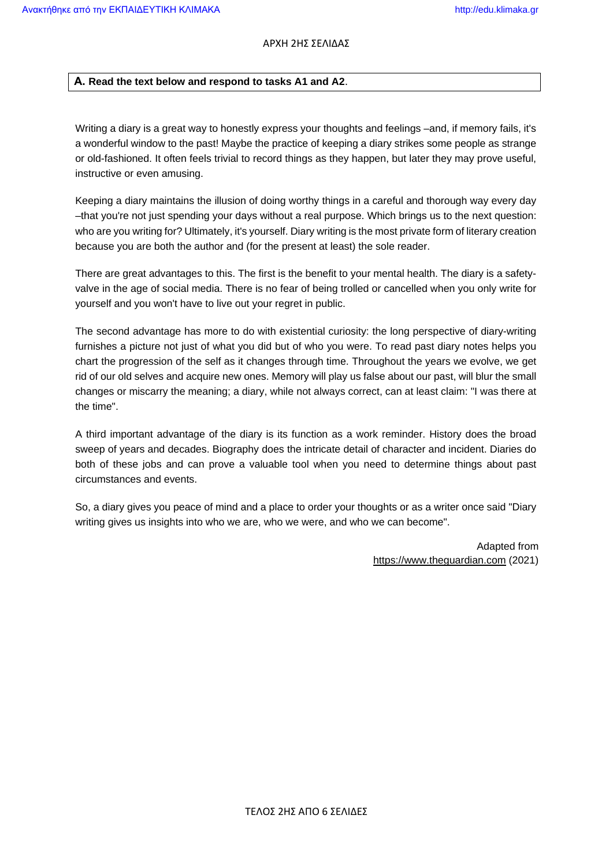#### **Α. Read the text below and respond to tasks A1 and A2**.

Writing a diary is a great way to honestly express your thoughts and feelings –and, if memory fails, it's a wonderful window to the past! Maybe the practice of keeping a diary strikes some people as strange or old-fashioned. It often feels trivial to record things as they happen, but later they may prove useful, instructive or even amusing.

Keeping a diary maintains the illusion of doing worthy things in a careful and thorough way every day –that you're not just spending your days without a real purpose. Which brings us to the next question: who are you writing for? Ultimately, it's yourself. Diary writing is the most private form of literary creation because you are both the author and (for the present at least) the sole reader.

There are great advantages to this. The first is the benefit to your mental health. The diary is a safetyvalve in the age of social media. There is no fear of being trolled or cancelled when you only write for yourself and you won't have to live out your regret in public.

The second advantage has more to do with existential curiosity: the long perspective of diary-writing furnishes a picture not just of what you did but of who you were. To read past diary notes helps you chart the progression of the self as it changes through time. Throughout the years we evolve, we get rid of our old selves and acquire new ones. Memory will play us false about our past, will blur the small changes or miscarry the meaning; a diary, while not always correct, can at least claim: "I was there at the time".

A third important advantage of the diary is its function as a work reminder. History does the broad sweep of years and decades. Biography does the intricate detail of character and incident. Diaries do both of these jobs and can prove a valuable tool when you need to determine things about past circumstances and events.

So, a diary gives you peace of mind and a place to order your thoughts or as a writer once said "Diary writing gives us insights into who we are, who we were, and who we can become".

> Adapted from https://www.theguardian.com (2021)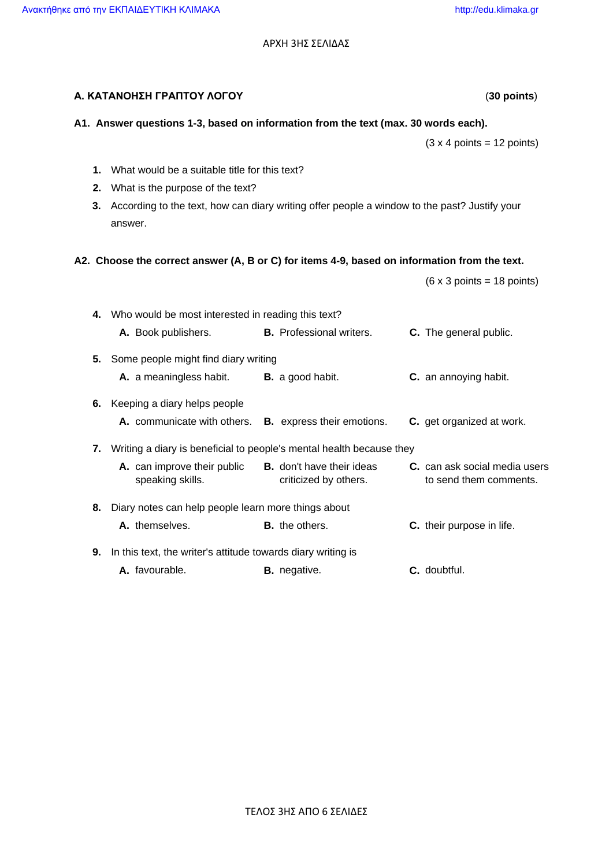ΑΡΧΗ 3ΗΣ ΣΕΛΙΔΑΣ

| Α. ΚΑΤΑΝΟΗΣΗ ΓΡΑΠΤΟΥ ΛΟΓΟΥ<br>$(30$ points) |                                                                                                                                                                                              |                                                           |                                                         |  |  |  |  |  |  |
|---------------------------------------------|----------------------------------------------------------------------------------------------------------------------------------------------------------------------------------------------|-----------------------------------------------------------|---------------------------------------------------------|--|--|--|--|--|--|
|                                             | A1. Answer questions 1-3, based on information from the text (max. 30 words each).                                                                                                           |                                                           |                                                         |  |  |  |  |  |  |
|                                             |                                                                                                                                                                                              |                                                           | $(3 \times 4 \text{ points} = 12 \text{ points})$       |  |  |  |  |  |  |
| 1.<br>2.<br>3.                              | What would be a suitable title for this text?<br>What is the purpose of the text?<br>According to the text, how can diary writing offer people a window to the past? Justify your<br>answer. |                                                           |                                                         |  |  |  |  |  |  |
|                                             | A2. Choose the correct answer (A, B or C) for items 4-9, based on information from the text.                                                                                                 |                                                           |                                                         |  |  |  |  |  |  |
|                                             |                                                                                                                                                                                              |                                                           | $(6 \times 3 \text{ points} = 18 \text{ points})$       |  |  |  |  |  |  |
|                                             | 4. Who would be most interested in reading this text?<br>A. Book publishers.                                                                                                                 | <b>B.</b> Professional writers.                           | C. The general public.                                  |  |  |  |  |  |  |
| 5.                                          | Some people might find diary writing                                                                                                                                                         |                                                           |                                                         |  |  |  |  |  |  |
|                                             | A. a meaningless habit.                                                                                                                                                                      | <b>B.</b> a good habit.                                   | C. an annoying habit.                                   |  |  |  |  |  |  |
| 6.                                          | Keeping a diary helps people                                                                                                                                                                 |                                                           |                                                         |  |  |  |  |  |  |
|                                             | A. communicate with others.                                                                                                                                                                  | <b>B.</b> express their emotions.                         | C. get organized at work.                               |  |  |  |  |  |  |
| 7.                                          | Writing a diary is beneficial to people's mental health because they                                                                                                                         |                                                           |                                                         |  |  |  |  |  |  |
|                                             | A. can improve their public<br>speaking skills.                                                                                                                                              | <b>B.</b> don't have their ideas<br>criticized by others. | C. can ask social media users<br>to send them comments. |  |  |  |  |  |  |
| 8.                                          | Diary notes can help people learn more things about                                                                                                                                          |                                                           |                                                         |  |  |  |  |  |  |
|                                             | A. themselves.                                                                                                                                                                               | <b>B.</b> the others.                                     | C. their purpose in life.                               |  |  |  |  |  |  |
| 9.                                          | In this text, the writer's attitude towards diary writing is                                                                                                                                 |                                                           |                                                         |  |  |  |  |  |  |
|                                             | A. favourable.                                                                                                                                                                               | <b>B.</b> negative.                                       | C. doubtful.                                            |  |  |  |  |  |  |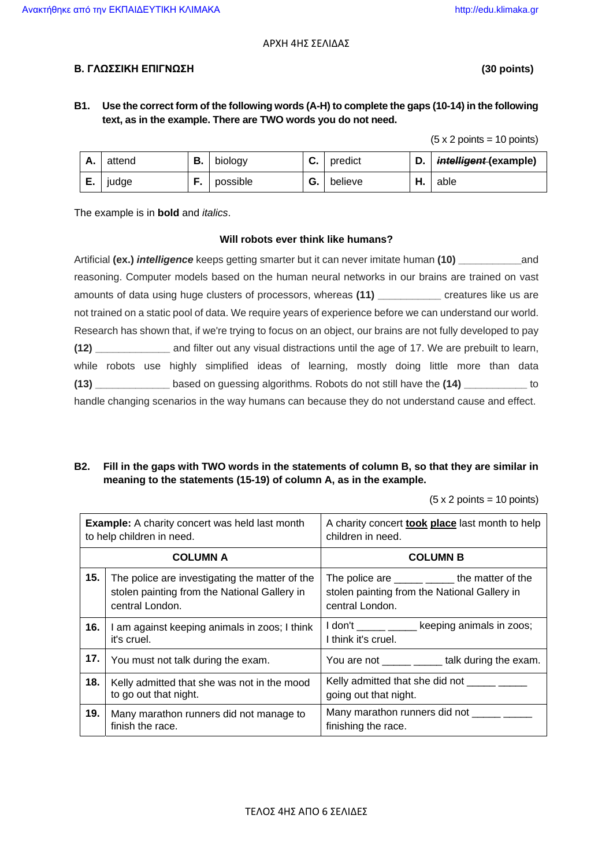#### ΑΡΧΗ 4ΗΣ ΣΕΛΙΔΑΣ

#### **Β. ΓΛΩΣΣΙΚΗ ΕΠΙΓΝΩΣΗ (30 points)**

#### **B1. Use the correct form of the following words (A-H) to complete the gaps (10-14) in the following text, as in the example. There are TWO words you do not need.**

 $(5 \times 2 \text{ points} = 10 \text{ points})$ 

| A. | attend | D. | biology  | v.      | predict | υ. | intelligent (example) |
|----|--------|----|----------|---------|---------|----|-----------------------|
| Ε. | judge  |    | possible | ⌒<br>G. | believe | п. | able                  |

The example is in **bold** and *italics*.

#### **Will robots ever think like humans?**

| reasoning. Computer models based on the human neural networks in our brains are trained on vast            |  |  |  |  |  |
|------------------------------------------------------------------------------------------------------------|--|--|--|--|--|
| amounts of data using huge clusters of processors, whereas (11) ___________ creatures like us are          |  |  |  |  |  |
| not trained on a static pool of data. We require years of experience before we can understand our world.   |  |  |  |  |  |
| Research has shown that, if we're trying to focus on an object, our brains are not fully developed to pay  |  |  |  |  |  |
| (12) _______________ and filter out any visual distractions until the age of 17. We are prebuilt to learn, |  |  |  |  |  |
| while robots use highly simplified ideas of learning, mostly doing little more than data                   |  |  |  |  |  |
| (13) ______________ based on guessing algorithms. Robots do not still have the (14) ____________ to        |  |  |  |  |  |
| handle changing scenarios in the way humans can because they do not understand cause and effect.           |  |  |  |  |  |

#### **B2. Fill in the gaps with TWO words in the statements of column B, so that they are similar in meaning to the statements (15-19) of column A, as in the example.**

 $(5 \times 2 \text{ points} = 10 \text{ points})$ 

| <b>Example:</b> A charity concert was held last month<br>to help children in need. |                                                                                                                   | A charity concert <b>took place</b> last month to help<br>children in need.                                       |  |  |
|------------------------------------------------------------------------------------|-------------------------------------------------------------------------------------------------------------------|-------------------------------------------------------------------------------------------------------------------|--|--|
|                                                                                    | <b>COLUMN A</b>                                                                                                   | <b>COLUMN B</b>                                                                                                   |  |  |
| 15.                                                                                | The police are investigating the matter of the<br>stolen painting from the National Gallery in<br>central London. | The police are ______ ______ the matter of the<br>stolen painting from the National Gallery in<br>central London. |  |  |
| 16.                                                                                | I am against keeping animals in zoos; I think<br>it's cruel.                                                      | I don't ______ _____ keeping animals in zoos;<br>I think it's cruel.                                              |  |  |
| 17.                                                                                | You must not talk during the exam.                                                                                | You are not ______ ______ talk during the exam.                                                                   |  |  |
| 18.                                                                                | Kelly admitted that she was not in the mood<br>to go out that night.                                              | going out that night.                                                                                             |  |  |
| 19.                                                                                | Many marathon runners did not manage to<br>finish the race.                                                       | Many marathon runners did not ______ ___<br>finishing the race.                                                   |  |  |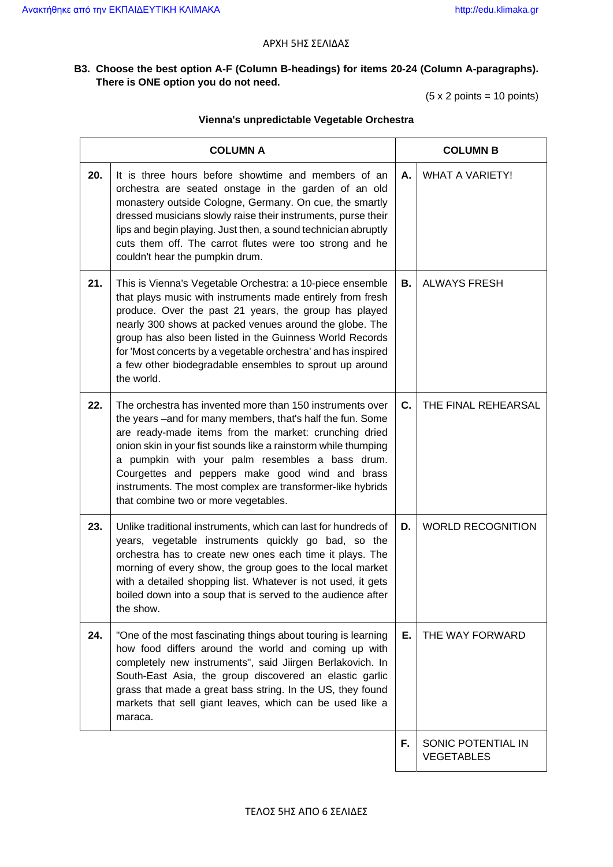#### ΑΡΧΗ 5ΗΣ ΣΕΛΙΔΑΣ

### **B3. Choose the best option A-F (Column B-headings) for items 20-24 (Column A-paragraphs). There is ONE option you do not need.**

(5 x 2 points = 10 points)

#### **Vienna's unpredictable Vegetable Orchestra**

|     | <b>COLUMN A</b>                                                                                                                                                                                                                                                                                                                                                                                                                                                | <b>COLUMN B</b> |                                         |  |
|-----|----------------------------------------------------------------------------------------------------------------------------------------------------------------------------------------------------------------------------------------------------------------------------------------------------------------------------------------------------------------------------------------------------------------------------------------------------------------|-----------------|-----------------------------------------|--|
| 20. | It is three hours before showtime and members of an<br>orchestra are seated onstage in the garden of an old<br>monastery outside Cologne, Germany. On cue, the smartly<br>dressed musicians slowly raise their instruments, purse their<br>lips and begin playing. Just then, a sound technician abruptly<br>cuts them off. The carrot flutes were too strong and he<br>couldn't hear the pumpkin drum.                                                        | Α.              | <b>WHAT A VARIETY!</b>                  |  |
| 21. | This is Vienna's Vegetable Orchestra: a 10-piece ensemble<br>that plays music with instruments made entirely from fresh<br>produce. Over the past 21 years, the group has played<br>nearly 300 shows at packed venues around the globe. The<br>group has also been listed in the Guinness World Records<br>for 'Most concerts by a vegetable orchestra' and has inspired<br>a few other biodegradable ensembles to sprout up around<br>the world.              | В.              | <b>ALWAYS FRESH</b>                     |  |
| 22. | The orchestra has invented more than 150 instruments over<br>the years -and for many members, that's half the fun. Some<br>are ready-made items from the market: crunching dried<br>onion skin in your fist sounds like a rainstorm while thumping<br>a pumpkin with your palm resembles a bass drum.<br>Courgettes and peppers make good wind and brass<br>instruments. The most complex are transformer-like hybrids<br>that combine two or more vegetables. | C.              | THE FINAL REHEARSAL                     |  |
| 23. | Unlike traditional instruments, which can last for hundreds of<br>years, vegetable instruments quickly go bad, so the<br>orchestra has to create new ones each time it plays. The<br>morning of every show, the group goes to the local market<br>with a detailed shopping list. Whatever is not used, it gets<br>boiled down into a soup that is served to the audience after<br>the show.                                                                    | D.              | <b>WORLD RECOGNITION</b>                |  |
| 24. | "One of the most fascinating things about touring is learning<br>how food differs around the world and coming up with<br>completely new instruments", said Jiirgen Berlakovich. In<br>South-East Asia, the group discovered an elastic garlic<br>grass that made a great bass string. In the US, they found<br>markets that sell giant leaves, which can be used like a<br>maraca.                                                                             |                 | THE WAY FORWARD                         |  |
|     |                                                                                                                                                                                                                                                                                                                                                                                                                                                                | F.              | SONIC POTENTIAL IN<br><b>VEGETABLES</b> |  |